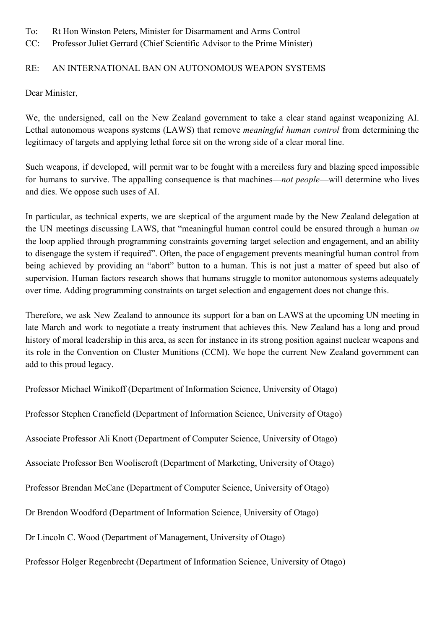- To: Rt Hon Winston Peters, Minister for Disarmament and Arms Control
- CC: Professor Juliet Gerrard (Chief Scientific Advisor to the Prime Minister)

## RE: AN INTERNATIONAL BAN ON AUTONOMOUS WEAPON SYSTEMS

Dear Minister,

We, the undersigned, call on the New Zealand government to take a clear stand against weaponizing AI. Lethal autonomous weapons systems (LAWS) that remove *meaningful human control* from determining the legitimacy of targets and applying lethal force sit on the wrong side of a clear moral line.

Such weapons, if developed, will permit war to be fought with a merciless fury and blazing speed impossible for humans to survive. The appalling consequence is that machines—*not people*—will determine who lives and dies. We oppose such uses of AI.

In particular, as technical experts, we are skeptical of the argument made by the New Zealand delegation at the UN meetings discussing LAWS, that "meaningful human control could be ensured through a human *on* the loop applied through programming constraints governing target selection and engagement, and an ability to disengage the system if required". Often, the pace of engagement prevents meaningful human control from being achieved by providing an "abort" button to a human. This is not just a matter of speed but also of supervision. Human factors research shows that humans struggle to monitor autonomous systems adequately over time. Adding programming constraints on target selection and engagement does not change this.

Therefore, we ask New Zealand to announce its support for a ban on LAWS at the upcoming UN meeting in late March and work to negotiate a treaty instrument that achieves this. New Zealand has a long and proud history of moral leadership in this area, as seen for instance in its strong position against nuclear weapons and its role in the Convention on Cluster Munitions (CCM). We hope the current New Zealand government can add to this proud legacy.

Professor Michael Winikoff (Department of Information Science, University of Otago)

Professor Stephen Cranefield (Department of Information Science, University of Otago)

Associate Professor Ali Knott (Department of Computer Science, University of Otago)

Associate Professor Ben Wooliscroft (Department of Marketing, University of Otago)

Professor Brendan McCane (Department of Computer Science, University of Otago)

Dr Brendon Woodford (Department of Information Science, University of Otago)

Dr Lincoln C. Wood (Department of Management, University of Otago)

Professor Holger Regenbrecht (Department of Information Science, University of Otago)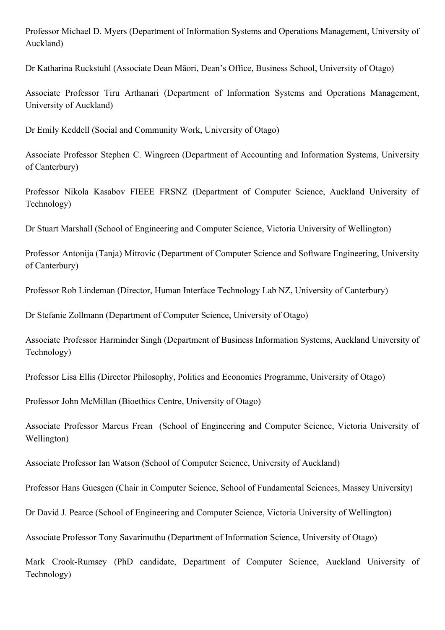Professor Michael D. Myers (Department of Information Systems and Operations Management, University of Auckland)

Dr Katharina Ruckstuhl (Associate Dean Māori, Dean's Office, Business School, University of Otago)

Associate Professor Tiru Arthanari (Department of Information Systems and Operations Management, University of Auckland)

Dr Emily Keddell (Social and Community Work, University of Otago)

Associate Professor Stephen C. Wingreen (Department of Accounting and Information Systems, University of Canterbury)

Professor Nikola Kasabov FIEEE FRSNZ (Department of Computer Science, Auckland University of Technology)

Dr Stuart Marshall (School of Engineering and Computer Science, Victoria University of Wellington)

Professor Antonija (Tanja) Mitrovic (Department of Computer Science and Software Engineering, University of Canterbury)

Professor Rob Lindeman (Director, Human Interface Technology Lab NZ, University of Canterbury)

Dr Stefanie Zollmann (Department of Computer Science, University of Otago)

Associate Professor Harminder Singh (Department of Business Information Systems, Auckland University of Technology)

Professor Lisa Ellis (Director Philosophy, Politics and Economics Programme, University of Otago)

Professor John McMillan (Bioethics Centre, University of Otago)

Associate Professor Marcus Frean (School of Engineering and Computer Science, Victoria University of Wellington)

Associate Professor Ian Watson (School of Computer Science, University of Auckland)

Professor Hans Guesgen (Chair in Computer Science, School of Fundamental Sciences, Massey University)

Dr David J. Pearce (School of Engineering and Computer Science, Victoria University of Wellington)

Associate Professor Tony Savarimuthu (Department of Information Science, University of Otago)

Mark Crook-Rumsey (PhD candidate, Department of Computer Science, Auckland University of Technology)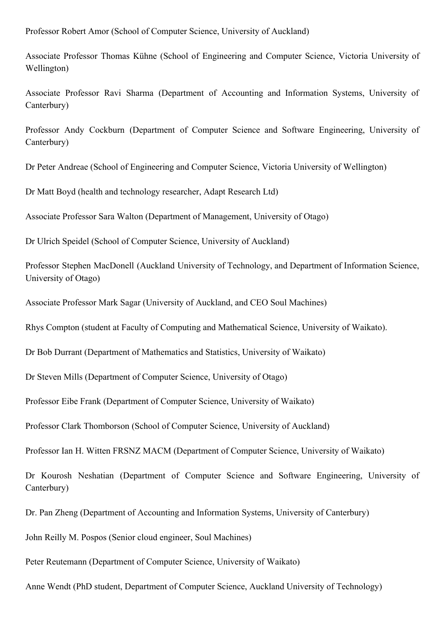Professor Robert Amor (School of Computer Science, University of Auckland)

Associate Professor Thomas Kühne (School of Engineering and Computer Science, Victoria University of Wellington)

Associate Professor Ravi Sharma (Department of Accounting and Information Systems, University of Canterbury)

Professor Andy Cockburn (Department of Computer Science and Software Engineering, University of Canterbury)

Dr Peter Andreae (School of Engineering and Computer Science, Victoria University of Wellington)

Dr Matt Boyd (health and technology researcher, Adapt Research Ltd)

Associate Professor Sara Walton (Department of Management, University of Otago)

Dr Ulrich Speidel (School of Computer Science, University of Auckland)

Professor Stephen MacDonell (Auckland University of Technology, and Department of Information Science, University of Otago)

Associate Professor Mark Sagar (University of Auckland, and CEO Soul Machines)

Rhys Compton (student at Faculty of Computing and Mathematical Science, University of Waikato).

Dr Bob Durrant (Department of Mathematics and Statistics, University of Waikato)

Dr Steven Mills (Department of Computer Science, University of Otago)

Professor Eibe Frank (Department of Computer Science, University of Waikato)

Professor Clark Thomborson (School of Computer Science, University of Auckland)

Professor Ian H. Witten FRSNZ MACM (Department of Computer Science, University of Waikato)

Dr Kourosh Neshatian (Department of Computer Science and Software Engineering, University of Canterbury)

Dr. Pan Zheng (Department of Accounting and Information Systems, University of Canterbury)

John Reilly M. Pospos (Senior cloud engineer, Soul Machines)

Peter Reutemann (Department of Computer Science, University of Waikato)

Anne Wendt (PhD student, Department of Computer Science, Auckland University of Technology)